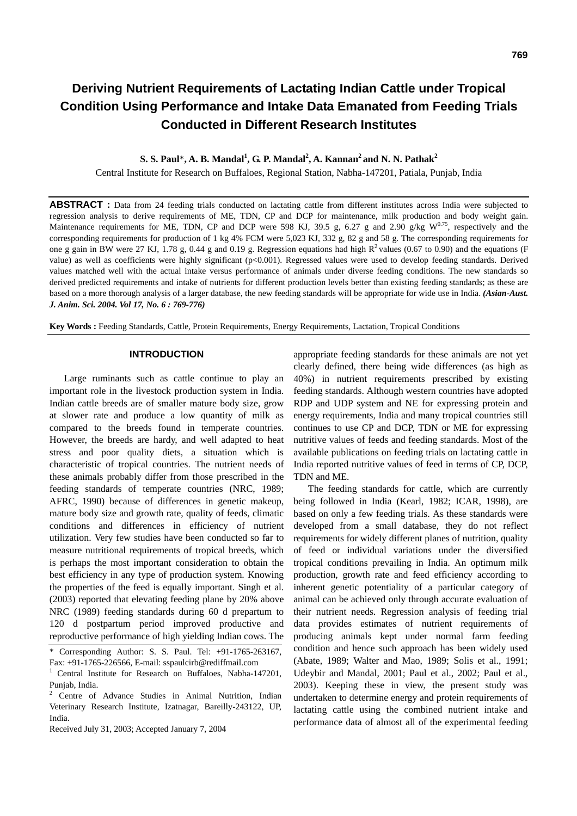**S. S. Paul\*, A. B. Mandal<sup>1</sup>, G. P. Mandal<sup>2</sup>, A. Kannan<sup>2</sup> and N. N. Pathak<sup>2</sup>** 

Central Institute for Research on Buffaloes, Regional Station, Nabha-147201, Patiala, Punjab, India

**ABSTRACT :** Data from 24 feeding trials conducted on lactating cattle from different institutes across India were subjected to regression analysis to derive requirements of ME, TDN, CP and DCP for maintenance, milk production and body weight gain. Maintenance requirements for ME, TDN, CP and DCP were 598 KJ, 39.5 g, 6.27 g and 2.90 g/kg  $W^{0.75}$ , respectively and the corresponding requirements for production of 1 kg 4% FCM were 5,023 KJ, 332 g, 82 g and 58 g. The corresponding requirements for one g gain in BW were 27 KJ, 1.78 g, 0.44 g and 0.19 g. Regression equations had high  $R^2$  values (0.67 to 0.90) and the equations (F value) as well as coefficients were highly significant (p<0.001). Regressed values were used to develop feeding standards. Derived values matched well with the actual intake versus performance of animals under diverse feeding conditions. The new standards so derived predicted requirements and intake of nutrients for different production levels better than existing feeding standards; as these are based on a more thorough analysis of a larger database, the new feeding standards will be appropriate for wide use in India. *(Asian-Aust. J. Anim. Sci. 2004. Vol 17, No. 6 : 769-776)*

**Key Words :** Feeding Standards, Cattle, Protein Requirements, Energy Requirements, Lactation, Tropical Conditions

#### **INTRODUCTION**

Large ruminants such as cattle continue to play an important role in the livestock production system in India. Indian cattle breeds are of smaller mature body size, grow at slower rate and produce a low quantity of milk as compared to the breeds found in temperate countries. However, the breeds are hardy, and well adapted to heat stress and poor quality diets, a situation which is characteristic of tropical countries. The nutrient needs of these animals probably differ from those prescribed in the feeding standards of temperate countries (NRC, 1989; AFRC, 1990) because of differences in genetic makeup, mature body size and growth rate, quality of feeds, climatic conditions and differences in efficiency of nutrient utilization. Very few studies have been conducted so far to measure nutritional requirements of tropical breeds, which is perhaps the most important consideration to obtain the best efficiency in any type of production system. Knowing the properties of the feed is equally important. Singh et al. (2003) reported that elevating feeding plane by 20% above NRC (1989) feeding standards during 60 d prepartum to 120 d postpartum period improved productive and reproductive performance of high yielding Indian cows. The

appropriate feeding standards for these animals are not yet clearly defined, there being wide differences (as high as 40%) in nutrient requirements prescribed by existing feeding standards. Although western countries have adopted RDP and UDP system and NE for expressing protein and energy requirements, India and many tropical countries still continues to use CP and DCP, TDN or ME for expressing nutritive values of feeds and feeding standards. Most of the available publications on feeding trials on lactating cattle in India reported nutritive values of feed in terms of CP, DCP, TDN and ME.

The feeding standards for cattle, which are currently being followed in India (Kearl, 1982; ICAR, 1998), are based on only a few feeding trials. As these standards were developed from a small database, they do not reflect requirements for widely different planes of nutrition, quality of feed or individual variations under the diversified tropical conditions prevailing in India. An optimum milk production, growth rate and feed efficiency according to inherent genetic potentiality of a particular category of animal can be achieved only through accurate evaluation of their nutrient needs. Regression analysis of feeding trial data provides estimates of nutrient requirements of producing animals kept under normal farm feeding condition and hence such approach has been widely used (Abate, 1989; Walter and Mao, 1989; Solis et al., 1991; Udeybir and Mandal, 2001; Paul et al., 2002; Paul et al., 2003). Keeping these in view, the present study was undertaken to determine energy and protein requirements of lactating cattle using the combined nutrient intake and performance data of almost all of the experimental feeding

Corresponding Author: S. S. Paul. Tel: +91-1765-263167, Fax: +91-1765-226566, E-mail: sspaulcirb@rediffmail.com

<sup>1</sup> Central Institute for Research on Buffaloes, Nabha-147201, Punjab, India.

<sup>2</sup> Centre of Advance Studies in Animal Nutrition, Indian Veterinary Research Institute, Izatnagar, Bareilly-243122, UP, India.

Received July 31, 2003; Accepted January 7, 2004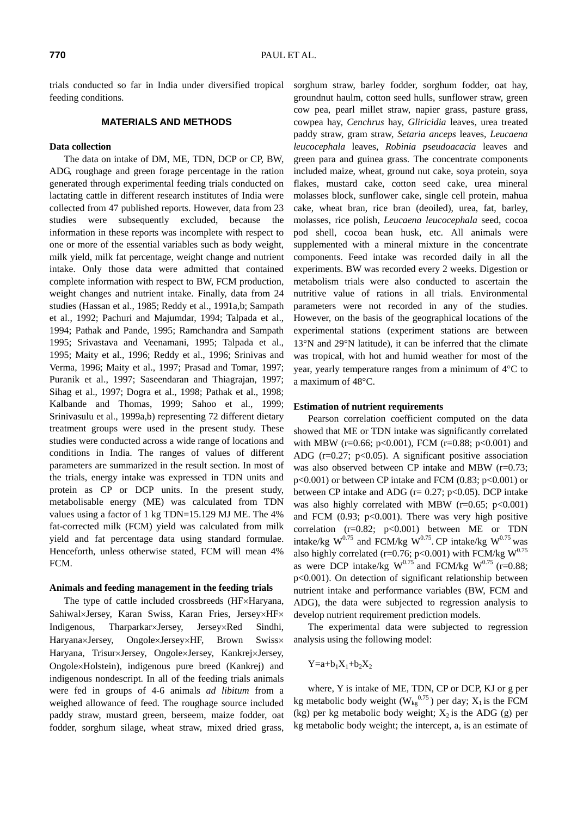trials conducted so far in India under diversified tropical feeding conditions.

# **MATERIALS AND METHODS**

### **Data collection**

The data on intake of DM, ME, TDN, DCP or CP, BW, ADG, roughage and green forage percentage in the ration generated through experimental feeding trials conducted on lactating cattle in different research institutes of India were collected from 47 published reports. However, data from 23 studies were subsequently excluded, because the information in these reports was incomplete with respect to one or more of the essential variables such as body weight, milk yield, milk fat percentage, weight change and nutrient intake. Only those data were admitted that contained complete information with respect to BW, FCM production, weight changes and nutrient intake. Finally, data from 24 studies (Hassan et al., 1985; Reddy et al., 1991a,b; Sampath et al., 1992; Pachuri and Majumdar, 1994; Talpada et al., 1994; Pathak and Pande, 1995; Ramchandra and Sampath 1995; Srivastava and Veenamani, 1995; Talpada et al., 1995; Maity et al., 1996; Reddy et al., 1996; Srinivas and Verma, 1996; Maity et al., 1997; Prasad and Tomar, 1997; Puranik et al., 1997; Saseendaran and Thiagrajan, 1997; Sihag et al., 1997; Dogra et al., 1998; Pathak et al., 1998; Kalbande and Thomas, 1999; Sahoo et al., 1999; Srinivasulu et al., 1999a,b) representing 72 different dietary treatment groups were used in the present study. These studies were conducted across a wide range of locations and conditions in India. The ranges of values of different parameters are summarized in the result section. In most of the trials, energy intake was expressed in TDN units and protein as CP or DCP units. In the present study, metabolisable energy (ME) was calculated from TDN values using a factor of 1 kg TDN=15.129 MJ ME. The 4% fat-corrected milk (FCM) yield was calculated from milk yield and fat percentage data using standard formulae. Henceforth, unless otherwise stated, FCM will mean 4% FCM.

## **Animals and feeding management in the feeding trials**

The type of cattle included crossbreeds (HF×Haryana, Sahiwal×Jersey, Karan Swiss, Karan Fries, Jersey×HF× Indigenous, Tharparkar×Jersey, Jersey×Red Sindhi, Haryana×Jersey, Ongole×Jersey×HF, Brown Swiss× Haryana, Trisur×Jersey, Ongole×Jersey, Kankrej×Jersey, Ongole×Holstein), indigenous pure breed (Kankrej) and indigenous nondescript. In all of the feeding trials animals were fed in groups of 4-6 animals *ad libitum* from a weighed allowance of feed. The roughage source included paddy straw, mustard green, berseem, maize fodder, oat fodder, sorghum silage, wheat straw, mixed dried grass, sorghum straw, barley fodder, sorghum fodder, oat hay, groundnut haulm, cotton seed hulls, sunflower straw, green cow pea, pearl millet straw, napier grass, pasture grass, cowpea hay, *Cenchrus* hay, *Gliricidia* leaves, urea treated paddy straw, gram straw, *Setaria anceps* leaves, *Leucaena leucocephala* leaves, *Robinia pseudoacacia* leaves and green para and guinea grass. The concentrate components included maize, wheat, ground nut cake, soya protein, soya flakes, mustard cake, cotton seed cake, urea mineral molasses block, sunflower cake, single cell protein, mahua cake, wheat bran, rice bran (deoiled), urea, fat, barley, molasses, rice polish, *Leucaena leucocephala* seed, cocoa pod shell, cocoa bean husk, etc. All animals were supplemented with a mineral mixture in the concentrate components. Feed intake was recorded daily in all the experiments. BW was recorded every 2 weeks. Digestion or metabolism trials were also conducted to ascertain the nutritive value of rations in all trials. Environmental parameters were not recorded in any of the studies. However, on the basis of the geographical locations of the experimental stations (experiment stations are between 13°N and 29°N latitude), it can be inferred that the climate was tropical, with hot and humid weather for most of the year, yearly temperature ranges from a minimum of 4°C to a maximum of 48°C.

#### **Estimation of nutrient requirements**

Pearson correlation coefficient computed on the data showed that ME or TDN intake was significantly correlated with MBW ( $r=0.66$ ;  $p<0.001$ ), FCM ( $r=0.88$ ;  $p<0.001$ ) and ADG ( $r=0.27$ ;  $p<0.05$ ). A significant positive association was also observed between CP intake and MBW (r=0.73;  $p<0.001$ ) or between CP intake and FCM (0.83;  $p<0.001$ ) or between CP intake and ADG ( $r = 0.27$ ;  $p < 0.05$ ). DCP intake was also highly correlated with MBW  $(r=0.65; p<0.001)$ and FCM  $(0.93; p<0.001)$ . There was very high positive correlation  $(r=0.82; p<0.001)$  between ME or TDN intake/kg  $W^{0.75}$  and FCM/kg  $W^{0.75}$ . CP intake/kg  $W^{0.75}$  was also highly correlated (r=0.76; p<0.001) with FCM/kg  $W^{0.75}$ as were DCP intake/kg  $W^{0.75}$  and FCM/kg  $W^{0.75}$  (r=0.88; p<0.001). On detection of significant relationship between nutrient intake and performance variables (BW, FCM and ADG), the data were subjected to regression analysis to develop nutrient requirement prediction models.

The experimental data were subjected to regression analysis using the following model:

 $Y=a+b_1X_1+b_2X_2$ 

where, Y is intake of ME, TDN, CP or DCP, KJ or g per kg metabolic body weight ( $W_{kg}^{0.75}$ ) per day;  $X_1$  is the FCM (kg) per kg metabolic body weight;  $X_2$  is the ADG (g) per kg metabolic body weight; the intercept, a, is an estimate of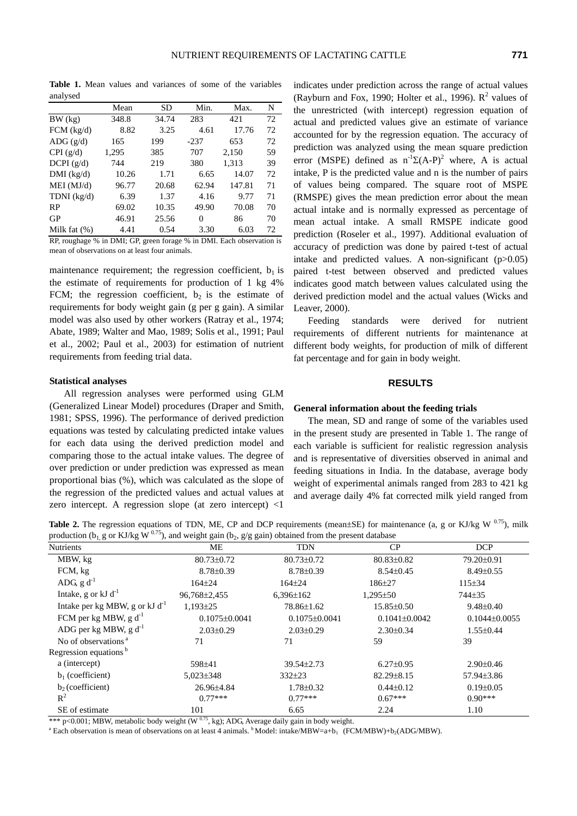**Table 1.** Mean values and variances of some of the variables analysed

|                 | Mean  | SD    | Min.   | Max.   | N  |
|-----------------|-------|-------|--------|--------|----|
| BW (kg)         | 348.8 | 34.74 | 283    | 421    | 72 |
| $FCM$ (kg/d)    | 8.82  | 3.25  | 4.61   | 17.76  | 72 |
| ADG(g/d)        | 165   | 199   | $-237$ | 653    | 72 |
| CPI(g/d)        | 1,295 | 385   | 707    | 2,150  | 59 |
| DCPI(g/d)       | 744   | 219   | 380    | 1,313  | 39 |
| $DMI$ (kg/d)    | 10.26 | 1.71  | 6.65   | 14.07  | 72 |
| MEI (MJ/d)      | 96.77 | 20.68 | 62.94  | 147.81 | 71 |
| TDNI $(kg/d)$   | 6.39  | 1.37  | 4.16   | 9.77   | 71 |
| <b>RP</b>       | 69.02 | 10.35 | 49.90  | 70.08  | 70 |
| GP              | 46.91 | 25.56 | 0      | 86     | 70 |
| Milk fat $(\%)$ | 4.41  | 0.54  | 3.30   | 6.03   | 72 |

RP, roughage % in DMI; GP, green forage % in DMI. Each observation is mean of observations on at least four animals.

maintenance requirement; the regression coefficient,  $b_1$  is the estimate of requirements for production of 1 kg 4% FCM; the regression coefficient,  $b_2$  is the estimate of requirements for body weight gain (g per g gain). A similar model was also used by other workers (Ratray et al., 1974; Abate, 1989; Walter and Mao, 1989; Solis et al., 1991; Paul et al., 2002; Paul et al., 2003) for estimation of nutrient requirements from feeding trial data.

#### **Statistical analyses**

All regression analyses were performed using GLM (Generalized Linear Model) procedures (Draper and Smith, 1981; SPSS, 1996). The performance of derived prediction equations was tested by calculating predicted intake values for each data using the derived prediction model and comparing those to the actual intake values. The degree of over prediction or under prediction was expressed as mean proportional bias (%), which was calculated as the slope of the regression of the predicted values and actual values at zero intercept. A regression slope (at zero intercept) <1

indicates under prediction across the range of actual values (Rayburn and Fox, 1990; Holter et al., 1996).  $R^2$  values of the unrestricted (with intercept) regression equation of actual and predicted values give an estimate of variance accounted for by the regression equation. The accuracy of prediction was analyzed using the mean square prediction error (MSPE) defined as  $n^{-1}\Sigma(A-P)^2$  where, A is actual intake, P is the predicted value and n is the number of pairs of values being compared. The square root of MSPE (RMSPE) gives the mean prediction error about the mean actual intake and is normally expressed as percentage of mean actual intake. A small RMSPE indicate good prediction (Roseler et al., 1997). Additional evaluation of accuracy of prediction was done by paired t-test of actual intake and predicted values. A non-significant (p>0.05) paired t-test between observed and predicted values indicates good match between values calculated using the derived prediction model and the actual values (Wicks and Leaver, 2000).

Feeding standards were derived for nutrient requirements of different nutrients for maintenance at different body weights, for production of milk of different fat percentage and for gain in body weight.

# **RESULTS**

# **General information about the feeding trials**

The mean, SD and range of some of the variables used in the present study are presented in Table 1. The range of each variable is sufficient for realistic regression analysis and is representative of diversities observed in animal and feeding situations in India. In the database, average body weight of experimental animals ranged from 283 to 421 kg and average daily 4% fat corrected milk yield ranged from

**Table 2.** The regression equations of TDN, ME, CP and DCP requirements (mean $\pm$ SE) for maintenance (a, g or KJ/kg W  $^{0.75}$ ), milk production (b<sub>1, g</sub> or KJ/kg W <sup>0.75</sup>), and weight gain (b<sub>2</sub>, g/g gain) obtained from the present database

| $\cdot$ $\cdot$                     |                     |                     |                   |                     |
|-------------------------------------|---------------------|---------------------|-------------------|---------------------|
| Nutrients                           | ME                  | <b>TDN</b>          | CP                | <b>DCP</b>          |
| MBW, kg                             | $80.73 \pm 0.72$    | $80.73 \pm 0.72$    | 80.83±0.82        | 79.20±0.91          |
| FCM, kg                             | $8.78 \pm 0.39$     | $8.78 \pm 0.39$     | $8.54 \pm 0.45$   | $8.49 \pm 0.55$     |
| ADG, $g d^{-1}$                     | $164 \pm 24$        | $164 \pm 24$        | $186 + 27$        | $115 \pm 34$        |
| Intake, g or kJ $d^{-1}$            | 96,768±2,455        | $6,396 \pm 162$     | $1,295 \pm 50$    | 744 <sup>+</sup> 35 |
| Intake per kg MBW, g or $kJ d^{-1}$ | $1,193\pm25$        | 78.86±1.62          | 15.85±0.50        | $9.48 \pm 0.40$     |
| FCM per kg MBW, $g d^{-1}$          | $0.1075 \pm 0.0041$ | $0.1075 \pm 0.0041$ | $0.1041\pm0.0042$ | $0.1044\pm0.0055$   |
| ADG per kg MBW, $g d^{-1}$          | $2.03 \pm 0.29$     | $2.03 \pm 0.29$     | $2.30\pm0.34$     | $1.55 \pm 0.44$     |
| No of observations <sup>a</sup>     | 71                  | 71                  | 59                | 39                  |
| Regression equations <sup>b</sup>   |                     |                     |                   |                     |
| a (intercept)                       | 598±41              | 39.54±2.73          | $6.27 \pm 0.95$   | $2.90 \pm 0.46$     |
| $b_1$ (coefficient)                 | $5,023 \pm 348$     | $332 \pm 23$        | $82.29 \pm 8.15$  | $57.94 \pm 3.86$    |
| $b2$ (coefficient)                  | 26.96±4.84          | $1.78 \pm 0.32$     | $0.44 \pm 0.12$   | $0.19 \pm 0.05$     |
| $R^2$                               | $0.77***$           | $0.77***$           | $0.67***$         | $0.90***$           |
| SE of estimate                      | 101                 | 6.65                | 2.24              | 1.10                |

\*\*\* p<0.001; MBW, metabolic body weight  $(W^{0.75}, kg)$ ; ADG, Average daily gain in body weight.

<sup>a</sup> Each observation is mean of observations on at least 4 animals.  $b$  Model: intake/MBW=a+b<sub>1</sub> (FCM/MBW)+b<sub>2</sub>(ADG/MBW).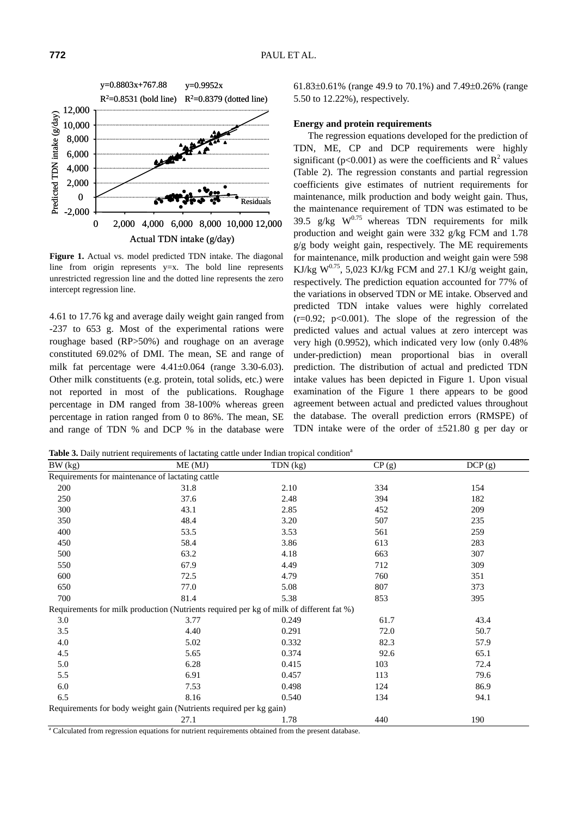

**Figure 1.** Actual vs. model predicted TDN intake. The diagonal line from origin represents y=x. The bold line represents unrestricted regression line and the dotted line represents the zero intercept regression line.

4.61 to 17.76 kg and average daily weight gain ranged from -237 to 653 g. Most of the experimental rations were roughage based (RP>50%) and roughage on an average constituted 69.02% of DMI. The mean, SE and range of milk fat percentage were 4.41±0.064 (range 3.30-6.03). Other milk constituents (e.g. protein, total solids, etc.) were not reported in most of the publications. Roughage percentage in DM ranged from 38-100% whereas green percentage in ration ranged from 0 to 86%. The mean, SE and range of TDN % and DCP % in the database were 61.83±0.61% (range 49.9 to 70.1%) and 7.49±0.26% (range 5.50 to 12.22%), respectively.

# **Energy and protein requirements**

The regression equations developed for the prediction of TDN, ME, CP and DCP requirements were highly significant ( $p<0.001$ ) as were the coefficients and  $R^2$  values (Table 2). The regression constants and partial regression coefficients give estimates of nutrient requirements for maintenance, milk production and body weight gain. Thus, the maintenance requirement of TDN was estimated to be 39.5 g/kg  $W^{0.75}$  whereas TDN requirements for milk production and weight gain were 332 g/kg FCM and 1.78 g/g body weight gain, respectively. The ME requirements for maintenance, milk production and weight gain were 598 KJ/kg  $W^{0.75}$ , 5,023 KJ/kg FCM and 27.1 KJ/g weight gain, respectively. The prediction equation accounted for 77% of the variations in observed TDN or ME intake. Observed and predicted TDN intake values were highly correlated  $(r=0.92; p<0.001)$ . The slope of the regression of the predicted values and actual values at zero intercept was very high (0.9952), which indicated very low (only 0.48% under-prediction) mean proportional bias in overall prediction. The distribution of actual and predicted TDN intake values has been depicted in Figure 1. Upon visual examination of the Figure 1 there appears to be good agreement between actual and predicted values throughout the database. The overall prediction errors (RMSPE) of TDN intake were of the order of ±521.80 g per day or

Table 3. Daily nutrient requirements of lactating cattle under Indian tropical condition<sup>a</sup>

| BW (kg) | ME(MJ)                                                                                  | TDN (kg) | CP(g) | DCP(g) |
|---------|-----------------------------------------------------------------------------------------|----------|-------|--------|
|         | Requirements for maintenance of lactating cattle                                        |          |       |        |
| 200     | 31.8                                                                                    | 2.10     | 334   | 154    |
| 250     | 37.6                                                                                    | 2.48     | 394   | 182    |
| 300     | 43.1                                                                                    | 2.85     | 452   | 209    |
| 350     | 48.4                                                                                    | 3.20     | 507   | 235    |
| 400     | 53.5                                                                                    | 3.53     | 561   | 259    |
| 450     | 58.4                                                                                    | 3.86     | 613   | 283    |
| 500     | 63.2                                                                                    | 4.18     | 663   | 307    |
| 550     | 67.9                                                                                    | 4.49     | 712   | 309    |
| 600     | 72.5                                                                                    | 4.79     | 760   | 351    |
| 650     | 77.0                                                                                    | 5.08     | 807   | 373    |
| 700     | 81.4                                                                                    | 5.38     | 853   | 395    |
|         | Requirements for milk production (Nutrients required per kg of milk of different fat %) |          |       |        |
| 3.0     | 3.77                                                                                    | 0.249    | 61.7  | 43.4   |
| 3.5     | 4.40                                                                                    | 0.291    | 72.0  | 50.7   |
| 4.0     | 5.02                                                                                    | 0.332    | 82.3  | 57.9   |
| 4.5     | 5.65                                                                                    | 0.374    | 92.6  | 65.1   |
| 5.0     | 6.28                                                                                    | 0.415    | 103   | 72.4   |
| 5.5     | 6.91                                                                                    | 0.457    | 113   | 79.6   |
| 6.0     | 7.53                                                                                    | 0.498    | 124   | 86.9   |
| 6.5     | 8.16                                                                                    | 0.540    | 134   | 94.1   |
|         | Requirements for body weight gain (Nutrients required per kg gain)                      |          |       |        |
|         | 27.1                                                                                    | 1.78     | 440   | 190    |

<sup>a</sup> Calculated from regression equations for nutrient requirements obtained from the present database.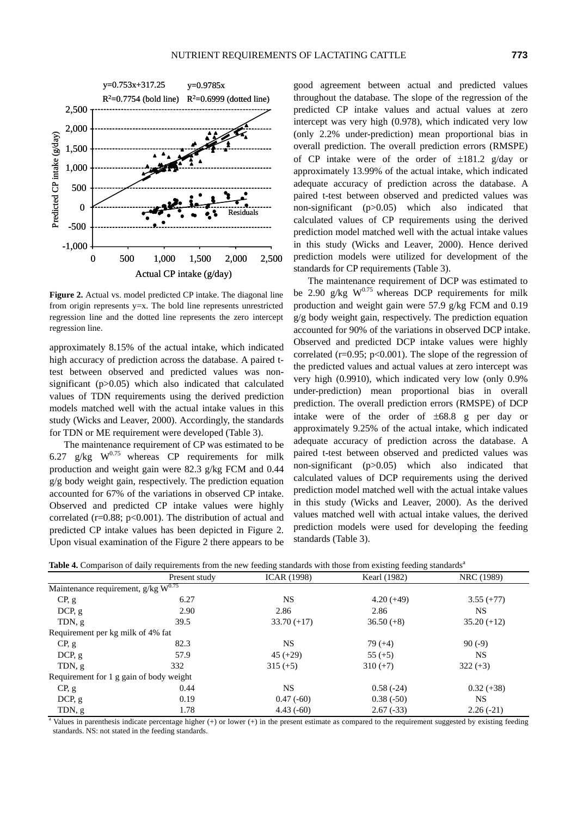



**Figure 2.** Actual vs. model predicted CP intake. The diagonal line from origin represents y=x. The bold line represents unrestricted regression line and the dotted line represents the zero intercept regression line.

approximately 8.15% of the actual intake, which indicated high accuracy of prediction across the database. A paired ttest between observed and predicted values was nonsignificant (p>0.05) which also indicated that calculated values of TDN requirements using the derived prediction models matched well with the actual intake values in this study (Wicks and Leaver, 2000). Accordingly, the standards for TDN or ME requirement were developed (Table 3).

The maintenance requirement of CP was estimated to be 6.27 g/kg  $W^{0.75}$  whereas CP requirements for milk production and weight gain were 82.3 g/kg FCM and 0.44 g/g body weight gain, respectively. The prediction equation accounted for 67% of the variations in observed CP intake. Observed and predicted CP intake values were highly correlated ( $r=0.88$ ;  $p<0.001$ ). The distribution of actual and predicted CP intake values has been depicted in Figure 2. Upon visual examination of the Figure 2 there appears to be

good agreement between actual and predicted values throughout the database. The slope of the regression of the predicted CP intake values and actual values at zero intercept was very high (0.978), which indicated very low (only 2.2% under-prediction) mean proportional bias in overall prediction. The overall prediction errors (RMSPE) of CP intake were of the order of  $\pm 181.2$  g/day or approximately 13.99% of the actual intake, which indicated adequate accuracy of prediction across the database. A paired t-test between observed and predicted values was non-significant (p>0.05) which also indicated that calculated values of CP requirements using the derived prediction model matched well with the actual intake values in this study (Wicks and Leaver, 2000). Hence derived prediction models were utilized for development of the standards for CP requirements (Table 3).

The maintenance requirement of DCP was estimated to be 2.90 g/kg  $W^{0.75}$  whereas DCP requirements for milk production and weight gain were 57.9 g/kg FCM and 0.19 g/g body weight gain, respectively. The prediction equation accounted for 90% of the variations in observed DCP intake. Observed and predicted DCP intake values were highly correlated ( $r=0.95$ ;  $p<0.001$ ). The slope of the regression of the predicted values and actual values at zero intercept was very high (0.9910), which indicated very low (only 0.9% under-prediction) mean proportional bias in overall prediction. The overall prediction errors (RMSPE) of DCP intake were of the order of ±68.8 g per day or approximately 9.25% of the actual intake, which indicated adequate accuracy of prediction across the database. A paired t-test between observed and predicted values was non-significant (p>0.05) which also indicated that calculated values of DCP requirements using the derived prediction model matched well with the actual intake values in this study (Wicks and Leaver, 2000). As the derived values matched well with actual intake values, the derived prediction models were used for developing the feeding standards (Table 3).

|  |  |  |  |  |  |  | Table 4. Comparison of daily requirements from the new feeding standards with those from existing feeding standards <sup>a</sup> |
|--|--|--|--|--|--|--|----------------------------------------------------------------------------------------------------------------------------------|
|  |  |  |  |  |  |  |                                                                                                                                  |

|                                                       | Present study | <b>ICAR (1998)</b> | Kearl (1982) | NRC (1989)    |
|-------------------------------------------------------|---------------|--------------------|--------------|---------------|
| Maintenance requirement, $g/kg$ $\overline{W^{0.75}}$ |               |                    |              |               |
| CP, g                                                 | 6.27          | NS.                | $4.20(+49)$  | $3.55 (+77)$  |
| DCP, g                                                | 2.90          | 2.86               | 2.86         | NS.           |
| TDN, g                                                | 39.5          | $33.70 (+17)$      | $36.50(+8)$  | $35.20 (+12)$ |
| Requirement per kg milk of 4% fat                     |               |                    |              |               |
| CP, g                                                 | 82.3          | <b>NS</b>          | $79(+4)$     | 90(.9)        |
| DCP, g                                                | 57.9          | $45 (+29)$         | $55 (+5)$    | NS.           |
| TDN, g                                                | 332           | $315 (+5)$         | $310 (+7)$   | $322 (+3)$    |
| Requirement for 1 g gain of body weight               |               |                    |              |               |
| CP, g                                                 | 0.44          | <b>NS</b>          | $0.58(-24)$  | $0.32 (+38)$  |
| DCP, g                                                | 0.19          | $0.47(-60)$        | $0.38(-50)$  | NS.           |
| TDN, g                                                | 1.78          | $4.43(-60)$        | $2.67(-33)$  | $2.26(-21)$   |

standards. NS: not stated in the feeding standards.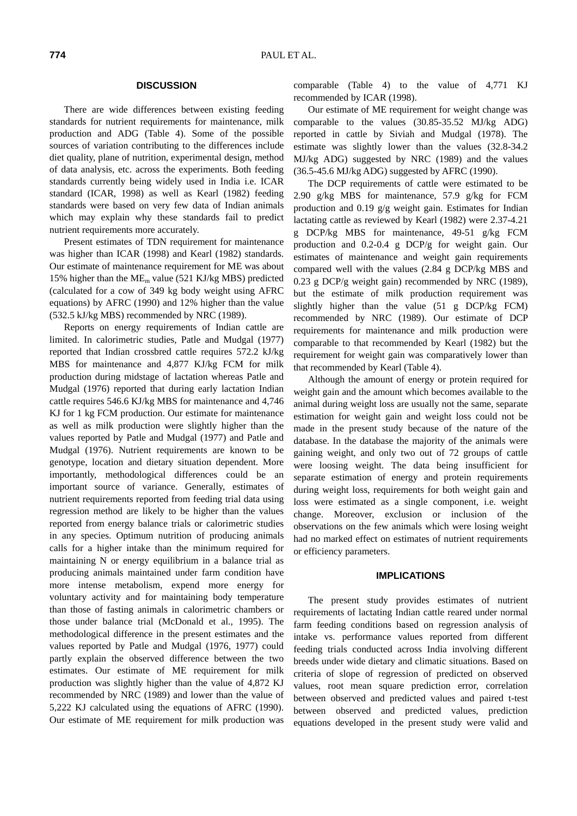### **DISCUSSION**

There are wide differences between existing feeding standards for nutrient requirements for maintenance, milk production and ADG (Table 4). Some of the possible sources of variation contributing to the differences include diet quality, plane of nutrition, experimental design, method of data analysis, etc. across the experiments. Both feeding standards currently being widely used in India i.e. ICAR standard (ICAR, 1998) as well as Kearl (1982) feeding standards were based on very few data of Indian animals which may explain why these standards fail to predict nutrient requirements more accurately.

Present estimates of TDN requirement for maintenance was higher than ICAR (1998) and Kearl (1982) standards. Our estimate of maintenance requirement for ME was about 15% higher than the MEm value (521 KJ/kg MBS) predicted (calculated for a cow of 349 kg body weight using AFRC equations) by AFRC (1990) and 12% higher than the value (532.5 kJ/kg MBS) recommended by NRC (1989).

Reports on energy requirements of Indian cattle are limited. In calorimetric studies, Patle and Mudgal (1977) reported that Indian crossbred cattle requires 572.2 kJ/kg MBS for maintenance and 4,877 KJ/kg FCM for milk production during midstage of lactation whereas Patle and Mudgal (1976) reported that during early lactation Indian cattle requires 546.6 KJ/kg MBS for maintenance and 4,746 KJ for 1 kg FCM production. Our estimate for maintenance as well as milk production were slightly higher than the values reported by Patle and Mudgal (1977) and Patle and Mudgal (1976). Nutrient requirements are known to be genotype, location and dietary situation dependent. More importantly, methodological differences could be an important source of variance. Generally, estimates of nutrient requirements reported from feeding trial data using regression method are likely to be higher than the values reported from energy balance trials or calorimetric studies in any species. Optimum nutrition of producing animals calls for a higher intake than the minimum required for maintaining N or energy equilibrium in a balance trial as producing animals maintained under farm condition have more intense metabolism, expend more energy for voluntary activity and for maintaining body temperature than those of fasting animals in calorimetric chambers or those under balance trial (McDonald et al., 1995). The methodological difference in the present estimates and the values reported by Patle and Mudgal (1976, 1977) could partly explain the observed difference between the two estimates. Our estimate of ME requirement for milk production was slightly higher than the value of 4,872 KJ recommended by NRC (1989) and lower than the value of 5,222 KJ calculated using the equations of AFRC (1990). Our estimate of ME requirement for milk production was comparable (Table 4) to the value of 4,771 KJ recommended by ICAR (1998).

Our estimate of ME requirement for weight change was comparable to the values (30.85-35.52 MJ/kg ADG) reported in cattle by Siviah and Mudgal (1978). The estimate was slightly lower than the values (32.8-34.2 MJ/kg ADG) suggested by NRC (1989) and the values (36.5-45.6 MJ/kg ADG) suggested by AFRC (1990).

The DCP requirements of cattle were estimated to be 2.90 g/kg MBS for maintenance, 57.9 g/kg for FCM production and 0.19 g/g weight gain. Estimates for Indian lactating cattle as reviewed by Kearl (1982) were 2.37-4.21 g DCP/kg MBS for maintenance, 49-51 g/kg FCM production and 0.2-0.4 g DCP/g for weight gain. Our estimates of maintenance and weight gain requirements compared well with the values (2.84 g DCP/kg MBS and 0.23 g DCP/g weight gain) recommended by NRC (1989), but the estimate of milk production requirement was slightly higher than the value (51 g DCP/kg FCM) recommended by NRC (1989). Our estimate of DCP requirements for maintenance and milk production were comparable to that recommended by Kearl (1982) but the requirement for weight gain was comparatively lower than that recommended by Kearl (Table 4).

Although the amount of energy or protein required for weight gain and the amount which becomes available to the animal during weight loss are usually not the same, separate estimation for weight gain and weight loss could not be made in the present study because of the nature of the database. In the database the majority of the animals were gaining weight, and only two out of 72 groups of cattle were loosing weight. The data being insufficient for separate estimation of energy and protein requirements during weight loss, requirements for both weight gain and loss were estimated as a single component, i.e. weight change. Moreover, exclusion or inclusion of the observations on the few animals which were losing weight had no marked effect on estimates of nutrient requirements or efficiency parameters.

#### **IMPLICATIONS**

The present study provides estimates of nutrient requirements of lactating Indian cattle reared under normal farm feeding conditions based on regression analysis of intake vs. performance values reported from different feeding trials conducted across India involving different breeds under wide dietary and climatic situations. Based on criteria of slope of regression of predicted on observed values, root mean square prediction error, correlation between observed and predicted values and paired t-test between observed and predicted values, prediction equations developed in the present study were valid and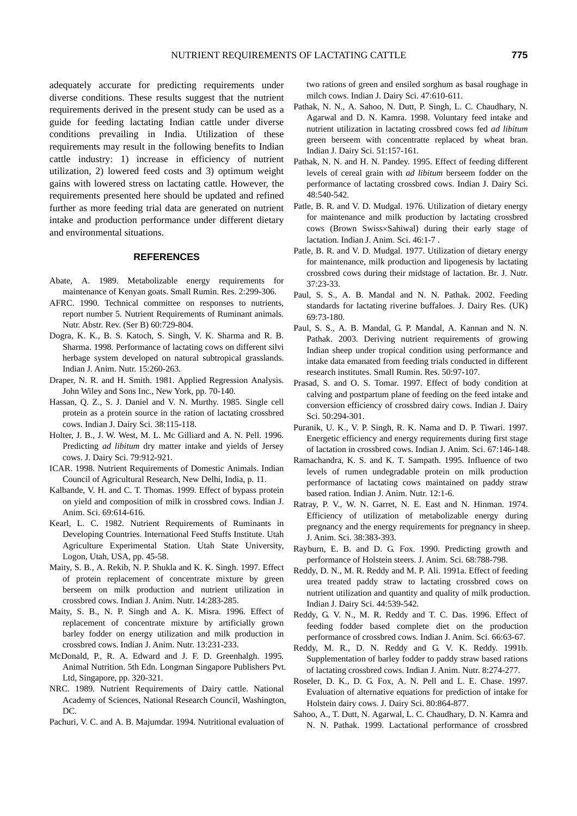adequately accurate for predicting requirements under diverse conditions. These results suggest that the nutrient requirements derived in the present study can be used as a guide for feeding lactating Indian cattle under diverse conditions prevailing in India. Utilization of these requirements may result in the following benefits to Indian cattle industry: 1) increase in efficiency of nutrient utilization, 2) lowered feed costs and 3) optimum weight gains with lowered stress on lactating cattle. However, the requirements presented here should be updated and refined further as more feeding trial data are generated on nutrient intake and production performance under different dietary and environmental situations.

### **REFERENCES**

- Abate, A. 1989. Metabolizable energy requirements for maintenance of Kenyan goats. Small Rumin. Res. 2:299-306.
- AFRC. 1990. Technical committee on responses to nutrients, report number 5. Nutrient Requirements of Ruminant animals. Nutr. Abstr. Rev. (Ser B) 60:729-804.
- Dogra, K. K., B. S. Katoch, S. Singh, V. K. Sharma and R. B. Sharma. 1998. Performance of lactating cows on different silvi herbage system developed on natural subtropical grasslands. Indian J. Anim. Nutr. 15:260-263.
- Draper, N. R. and H. Smith. 1981. Applied Regression Analysis. John Wiley and Sons Inc., New York, pp. 70-140.
- Hassan, Q. Z., S. J. Daniel and V. N. Murthy. 1985. Single cell protein as a protein source in the ration of lactating crossbred cows. Indian J. Dairy Sci. 38:115-118.
- Holter, J. B., J. W. West, M. L. Mc Gilliard and A. N. Pell. 1996. Predicting *ad libitum* dry matter intake and yields of Jersey cows. J. Dairy Sci. 79:912-921.
- ICAR. 1998. Nutrient Requirements of Domestic Animals. Indian Council of Agricultural Research, New Delhi, India, p. 11.
- Kalbande, V. H. and C. T. Thomas. 1999. Effect of bypass protein on yield and composition of milk in crossbred cows. Indian J. Anim. Sci. 69:614-616.
- Kearl, L. C. 1982. Nutrient Requirements of Ruminants in Developing Countries. International Feed Stuffs Institute. Utah Agriculture Experimental Station. Utah State University, Logon, Utah, USA, pp. 45-58.
- Maity, S. B., A. Rekib, N. P. Shukla and K. K. Singh. 1997. Effect of protein replacement of concentrate mixture by green berseem on milk production and nutrient utilization in crossbred cows. Indian J. Anim. Nutr. 14:283-285.
- Maity, S. B., N. P. Singh and A. K. Misra. 1996. Effect of replacement of concentrate mixture by artificially grown barley fodder on energy utilization and milk production in crossbred cows. Indian J. Anim. Nutr. 13:231-233.
- McDonald, P., R. A. Edward and J. F. D. Greenhalgh. 1995. Animal Nutrition. 5th Edn. Longman Singapore Publishers Pvt. Ltd, Singapore, pp. 320-321.
- NRC. 1989. Nutrient Requirements of Dairy cattle. National Academy of Sciences, National Research Council, Washington, DC.
- Pachuri, V. C. and A. B. Majumdar. 1994. Nutritional evaluation of

two rations of green and ensiled sorghum as basal roughage in milch cows. Indian J. Dairy Sci. 47:610-611.

- Pathak, N. N., A. Sahoo, N. Dutt, P. Singh, L. C. Chaudhary, N. Agarwal and D. N. Kamra. 1998. Voluntary feed intake and nutrient utilization in lactating crossbred cows fed *ad libitum* green berseem with concentratte replaced by wheat bran. Indian J. Dairy Sci. 51:157-161.
- Pathak, N. N. and H. N. Pandey. 1995. Effect of feeding different levels of cereal grain with *ad libitum* berseem fodder on the performance of lactating crossbred cows. Indian J. Dairy Sci. 48:540-542.
- Patle, B. R. and V. D. Mudgal. 1976. Utilization of dietary energy for maintenance and milk production by lactating crossbred cows (Brown Swiss×Sahiwal) during their early stage of lactation. Indian J. Anim. Sci. 46:1-7 .
- Patle, B. R. and V. D. Mudgal. 1977. Utilization of dietary energy for maintenance, milk production and lipogenesis by lactating crossbred cows during their midstage of lactation. Br. J. Nutr. 37:23-33.
- Paul, S. S., A. B. Mandal and N. N. Pathak. 2002. Feeding standards for lactating riverine buffaloes. J. Dairy Res. (UK) 69:73-180.
- Paul, S. S., A. B. Mandal, G. P. Mandal, A. Kannan and N. N. Pathak. 2003. Deriving nutrient requirements of growing Indian sheep under tropical condition using performance and intake data emanated from feeding trials conducted in different research institutes. Small Rumin. Res. 50:97-107.
- Prasad, S. and O. S. Tomar. 1997. Effect of body condition at calving and postpartum plane of feeding on the feed intake and conversion efficiency of crossbred dairy cows. Indian J. Dairy Sci. 50:294-301.
- Puranik, U. K., V. P. Singh, R. K. Nama and D. P. Tiwari. 1997. Energetic efficiency and energy requirements during first stage of lactation in crossbred cows. Indian J. Anim. Sci. 67:146-148.
- Ramachandra, K. S. and K. T. Sampath. 1995. Influence of two levels of rumen undegradable protein on milk production performance of lactating cows maintained on paddy straw based ration. Indian J. Anim. Nutr. 12:1-6.
- Ratray, P. V., W. N. Garret, N. E. East and N. Hinman. 1974. Efficiency of utilization of metabolizable energy during pregnancy and the energy requirements for pregnancy in sheep. J. Anim. Sci. 38:383-393.
- Rayburn, E. B. and D. G. Fox. 1990. Predicting growth and performance of Holstein steers. J. Anim. Sci. 68:788-798.
- Reddy, D. N., M. R. Reddy and M. P. Ali. 1991a. Effect of feeding urea treated paddy straw to lactating crossbred cows on nutrient utilization and quantity and quality of milk production. Indian J. Dairy Sci. 44:539-542.
- Reddy, G. V. N., M. R. Reddy and T. C. Das. 1996. Effect of feeding fodder based complete diet on the production performance of crossbred cows. Indian J. Anim. Sci. 66:63-67.
- Reddy, M. R., D. N. Reddy and G. V. K. Reddy. 1991b. Supplementation of barley fodder to paddy straw based rations of lactating crossbred cows. Indian J. Anim. Nutr. 8:274-277.
- Roseler, D. K., D. G. Fox, A. N. Pell and L. E. Chase. 1997. Evaluation of alternative equations for prediction of intake for Holstein dairy cows. J. Dairy Sci. 80:864-877.
- Sahoo, A., T. Dutt, N. Agarwal, L. C. Chaudhary, D. N. Kamra and N. N. Pathak. 1999. Lactational performance of crossbred